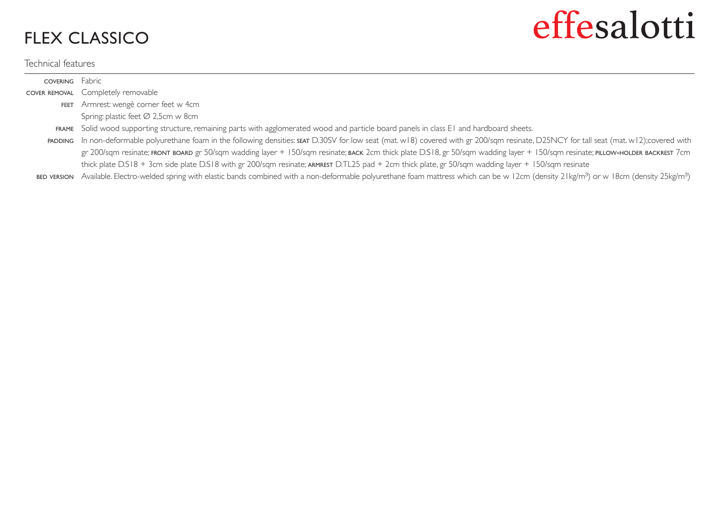## FLEX CLASSICO

## Technical features

## effesalotti

| <b>COVERING</b> Fabric |                                                                                                                                                                                             |
|------------------------|---------------------------------------------------------------------------------------------------------------------------------------------------------------------------------------------|
|                        | COVER REMOVAL Completely removable                                                                                                                                                          |
| <b>FEET</b>            | Armrest: wengè corner feet w 4cm                                                                                                                                                            |
|                        | Spring: plastic feet Ø 2,5cm w 8cm                                                                                                                                                          |
|                        | FRAME Solid wood supporting structure, remaining parts with agglomerated wood and particle board panels in class E1 and hardboard sheets.                                                   |
|                        | PADDING In non-deformable polyurethane foam in the following densities: SEAT D.30SV for low seat (mat. w18) covered with gr 200/sqm resinate, D25NCY for tall seat (mat. w12); covered with |
|                        | gr 200/sqm resinate; FRONT BOARD gr 50/sqm wadding layer + 150/sqm resinate; BACK 2cm thick plate D.S18, gr 50/sqm wadding layer + 150/sqm resinate; PILLOW-HOLDER BACKREST 7cm             |
|                        | thick plate D.S18 + 3cm side plate D.S18 with gr 200/sqm resinate; ARMREST D.TL25 pad + 2cm thick plate, gr 50/sqm wadding layer + 150/sqm resinate                                         |
|                        |                                                                                                                                                                                             |

 $\epsilon$  version Available. Electro-welded spring with elastic bands combined with a non-deformable polyurethane foam mattress which can be w 12cm (density 21kg/mª) or w 18cm (density 25kg/mª)